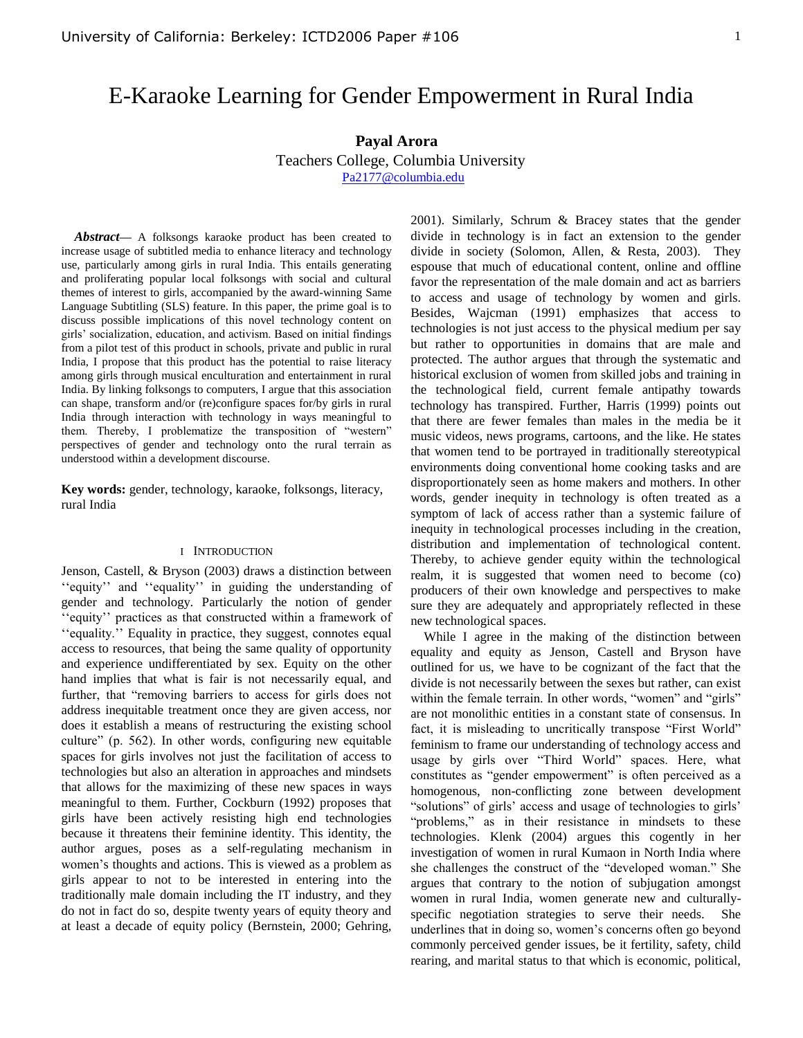# E-Karaoke Learning for Gender Empowerment in Rural India

**Payal Arora**

Teachers College, Columbia University [Pa2177@columbia.edu](mailto:Pa2177@columbia.edu)

*Abstract***—** A folksongs karaoke product has been created to increase usage of subtitled media to enhance literacy and technology use, particularly among girls in rural India. This entails generating and proliferating popular local folksongs with social and cultural themes of interest to girls, accompanied by the award-winning Same Language Subtitling (SLS) feature. In this paper, the prime goal is to discuss possible implications of this novel technology content on girls' socialization, education, and activism. Based on initial findings from a pilot test of this product in schools, private and public in rural India, I propose that this product has the potential to raise literacy among girls through musical enculturation and entertainment in rural India. By linking folksongs to computers, I argue that this association can shape, transform and/or (re)configure spaces for/by girls in rural India through interaction with technology in ways meaningful to them. Thereby, I problematize the transposition of "western" perspectives of gender and technology onto the rural terrain as understood within a development discourse.

**Key words:** gender, technology, karaoke, folksongs, literacy, rural India

## I INTRODUCTION

Jenson, Castell, & Bryson (2003) draws a distinction between ''equity'' and ''equality'' in guiding the understanding of gender and technology. Particularly the notion of gender ''equity'' practices as that constructed within a framework of ''equality.'' Equality in practice, they suggest, connotes equal access to resources, that being the same quality of opportunity and experience undifferentiated by sex. Equity on the other hand implies that what is fair is not necessarily equal, and further, that "removing barriers to access for girls does not address inequitable treatment once they are given access, nor does it establish a means of restructuring the existing school culture" (p. 562). In other words, configuring new equitable spaces for girls involves not just the facilitation of access to technologies but also an alteration in approaches and mindsets that allows for the maximizing of these new spaces in ways meaningful to them. Further, Cockburn (1992) proposes that girls have been actively resisting high end technologies because it threatens their feminine identity. This identity, the author argues, poses as a self-regulating mechanism in women's thoughts and actions. This is viewed as a problem as girls appear to not to be interested in entering into the traditionally male domain including the IT industry, and they do not in fact do so, despite twenty years of equity theory and at least a decade of equity policy (Bernstein, 2000; Gehring,

2001). Similarly, Schrum & Bracey states that the gender divide in technology is in fact an extension to the gender divide in society (Solomon, Allen, & Resta, 2003). They espouse that much of educational content, online and offline favor the representation of the male domain and act as barriers to access and usage of technology by women and girls. Besides, Wajcman (1991) emphasizes that access to technologies is not just access to the physical medium per say but rather to opportunities in domains that are male and protected. The author argues that through the systematic and historical exclusion of women from skilled jobs and training in the technological field, current female antipathy towards technology has transpired. Further, Harris (1999) points out that there are fewer females than males in the media be it music videos, news programs, cartoons, and the like. He states that women tend to be portrayed in traditionally stereotypical environments doing conventional home cooking tasks and are disproportionately seen as home makers and mothers. In other words, gender inequity in technology is often treated as a symptom of lack of access rather than a systemic failure of inequity in technological processes including in the creation, distribution and implementation of technological content. Thereby, to achieve gender equity within the technological realm, it is suggested that women need to become (co) producers of their own knowledge and perspectives to make sure they are adequately and appropriately reflected in these new technological spaces.

While I agree in the making of the distinction between equality and equity as Jenson, Castell and Bryson have outlined for us, we have to be cognizant of the fact that the divide is not necessarily between the sexes but rather, can exist within the female terrain. In other words, "women" and "girls" are not monolithic entities in a constant state of consensus. In fact, it is misleading to uncritically transpose "First World" feminism to frame our understanding of technology access and usage by girls over "Third World" spaces. Here, what constitutes as "gender empowerment" is often perceived as a homogenous, non-conflicting zone between development "solutions" of girls' access and usage of technologies to girls' "problems," as in their resistance in mindsets to these technologies. Klenk (2004) argues this cogently in her investigation of women in rural Kumaon in North India where she challenges the construct of the "developed woman." She argues that contrary to the notion of subjugation amongst women in rural India, women generate new and culturallyspecific negotiation strategies to serve their needs. She underlines that in doing so, women's concerns often go beyond commonly perceived gender issues, be it fertility, safety, child rearing, and marital status to that which is economic, political,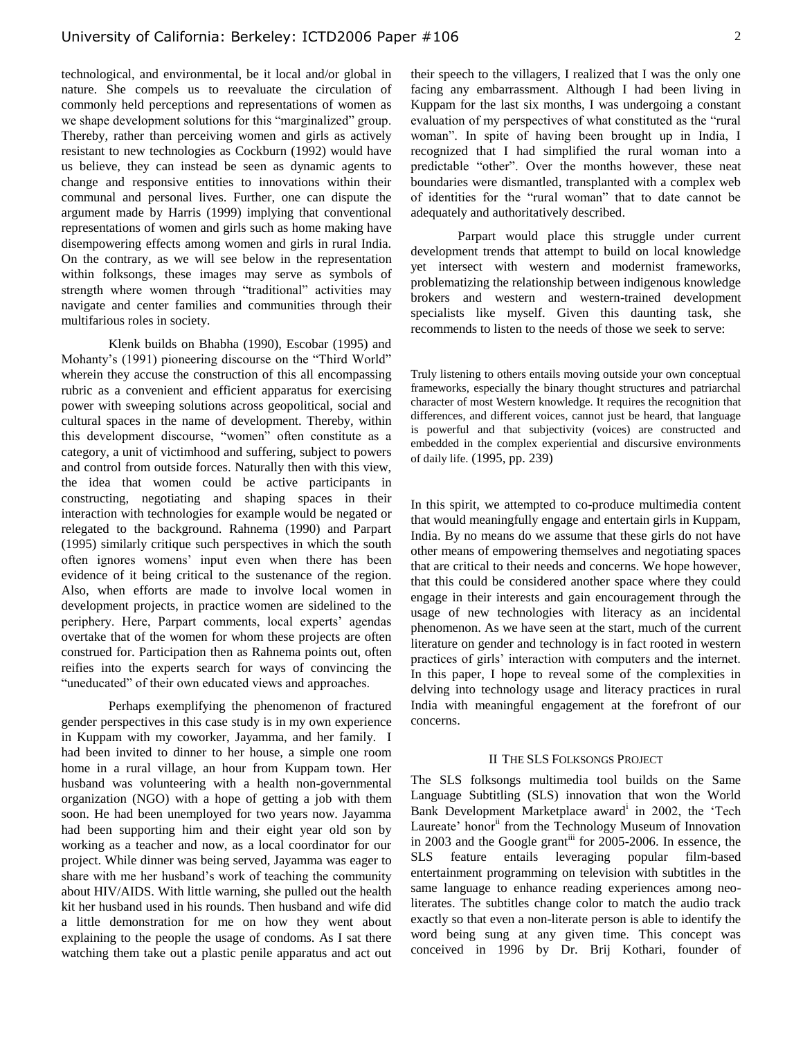technological, and environmental, be it local and/or global in nature. She compels us to reevaluate the circulation of commonly held perceptions and representations of women as we shape development solutions for this "marginalized" group. Thereby, rather than perceiving women and girls as actively resistant to new technologies as Cockburn (1992) would have us believe, they can instead be seen as dynamic agents to change and responsive entities to innovations within their communal and personal lives. Further, one can dispute the argument made by Harris (1999) implying that conventional representations of women and girls such as home making have disempowering effects among women and girls in rural India. On the contrary, as we will see below in the representation within folksongs, these images may serve as symbols of strength where women through "traditional" activities may navigate and center families and communities through their multifarious roles in society.

Klenk builds on Bhabha (1990), Escobar (1995) and Mohanty's (1991) pioneering discourse on the "Third World" wherein they accuse the construction of this all encompassing rubric as a convenient and efficient apparatus for exercising power with sweeping solutions across geopolitical, social and cultural spaces in the name of development. Thereby, within this development discourse, "women" often constitute as a category, a unit of victimhood and suffering, subject to powers and control from outside forces. Naturally then with this view, the idea that women could be active participants in constructing, negotiating and shaping spaces in their interaction with technologies for example would be negated or relegated to the background. Rahnema (1990) and Parpart (1995) similarly critique such perspectives in which the south often ignores womens' input even when there has been evidence of it being critical to the sustenance of the region. Also, when efforts are made to involve local women in development projects, in practice women are sidelined to the periphery. Here, Parpart comments, local experts' agendas overtake that of the women for whom these projects are often construed for. Participation then as Rahnema points out, often reifies into the experts search for ways of convincing the "uneducated" of their own educated views and approaches.

Perhaps exemplifying the phenomenon of fractured gender perspectives in this case study is in my own experience in Kuppam with my coworker, Jayamma, and her family. I had been invited to dinner to her house, a simple one room home in a rural village, an hour from Kuppam town. Her husband was volunteering with a health non-governmental organization (NGO) with a hope of getting a job with them soon. He had been unemployed for two years now. Jayamma had been supporting him and their eight year old son by working as a teacher and now, as a local coordinator for our project. While dinner was being served, Jayamma was eager to share with me her husband's work of teaching the community about HIV/AIDS. With little warning, she pulled out the health kit her husband used in his rounds. Then husband and wife did a little demonstration for me on how they went about explaining to the people the usage of condoms. As I sat there watching them take out a plastic penile apparatus and act out their speech to the villagers, I realized that I was the only one facing any embarrassment. Although I had been living in Kuppam for the last six months, I was undergoing a constant evaluation of my perspectives of what constituted as the "rural woman". In spite of having been brought up in India, I recognized that I had simplified the rural woman into a predictable "other". Over the months however, these neat boundaries were dismantled, transplanted with a complex web of identities for the "rural woman" that to date cannot be adequately and authoritatively described.

Parpart would place this struggle under current development trends that attempt to build on local knowledge yet intersect with western and modernist frameworks, problematizing the relationship between indigenous knowledge brokers and western and western-trained development specialists like myself. Given this daunting task, she recommends to listen to the needs of those we seek to serve:

Truly listening to others entails moving outside your own conceptual frameworks, especially the binary thought structures and patriarchal character of most Western knowledge. It requires the recognition that differences, and different voices, cannot just be heard, that language is powerful and that subjectivity (voices) are constructed and embedded in the complex experiential and discursive environments of daily life. (1995, pp. 239)

In this spirit, we attempted to co-produce multimedia content that would meaningfully engage and entertain girls in Kuppam, India. By no means do we assume that these girls do not have other means of empowering themselves and negotiating spaces that are critical to their needs and concerns. We hope however, that this could be considered another space where they could engage in their interests and gain encouragement through the usage of new technologies with literacy as an incidental phenomenon. As we have seen at the start, much of the current literature on gender and technology is in fact rooted in western practices of girls' interaction with computers and the internet. In this paper, I hope to reveal some of the complexities in delving into technology usage and literacy practices in rural India with meaningful engagement at the forefront of our concerns.

#### II THE SLS FOLKSONGS PROJECT

The SLS folksongs multimedia tool builds on the Same Language Subtitling (SLS) innovation that won the World Bank Development Marketplace award<sup>i</sup> in 2002, the 'Tech Laureate' honor<sup>ii</sup> from the Technology Museum of Innovation in 2003 and the Google grant<sup>iii</sup> for 2005-2006. In essence, the SLS feature entails leveraging popular film-based entertainment programming on television with subtitles in the same language to enhance reading experiences among neoliterates. The subtitles change color to match the audio track exactly so that even a non-literate person is able to identify the word being sung at any given time. This concept was conceived in 1996 by Dr. Brij Kothari, founder of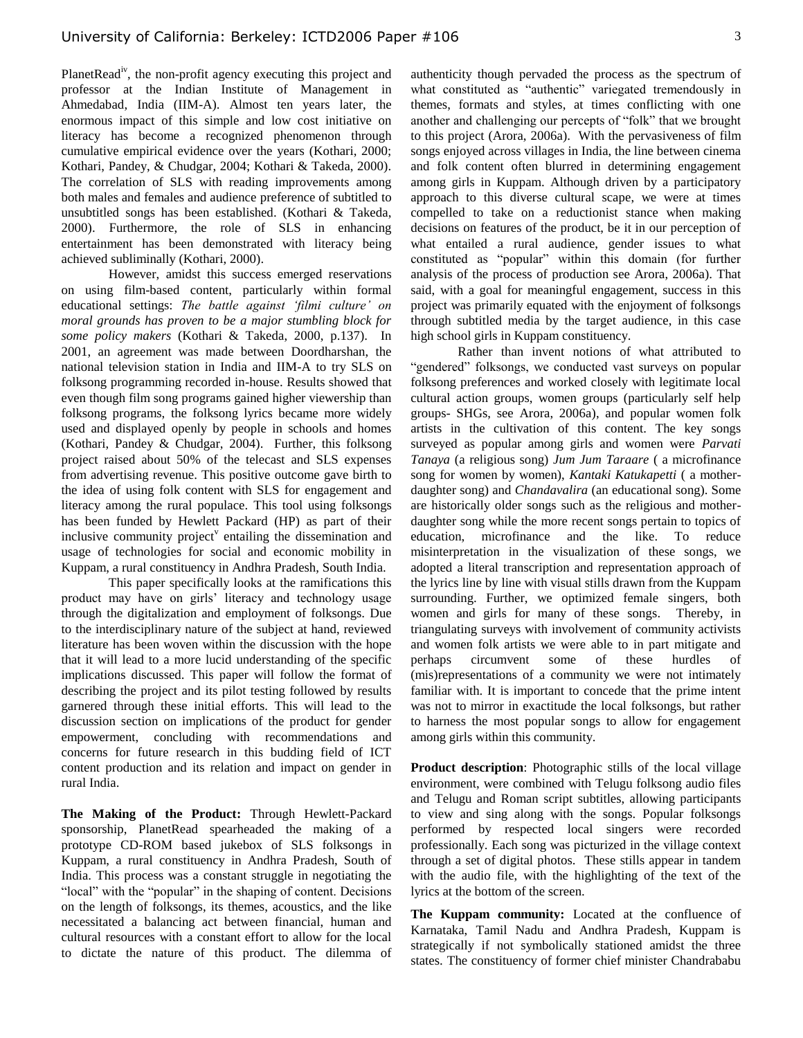PlanetRead<sup>iv</sup>, the non-profit agency executing this project and professor at the Indian Institute of Management in Ahmedabad, India (IIM-A). Almost ten years later, the enormous impact of this simple and low cost initiative on literacy has become a recognized phenomenon through cumulative empirical evidence over the years (Kothari, 2000; Kothari, Pandey, & Chudgar, 2004; Kothari & Takeda, 2000). The correlation of SLS with reading improvements among both males and females and audience preference of subtitled to unsubtitled songs has been established. (Kothari & Takeda, 2000). Furthermore, the role of SLS in enhancing entertainment has been demonstrated with literacy being achieved subliminally (Kothari, 2000).

However, amidst this success emerged reservations on using film-based content, particularly within formal educational settings: *The battle against 'filmi culture' on moral grounds has proven to be a major stumbling block for some policy makers* (Kothari & Takeda, 2000, p.137). In 2001, an agreement was made between Doordharshan, the national television station in India and IIM-A to try SLS on folksong programming recorded in-house. Results showed that even though film song programs gained higher viewership than folksong programs, the folksong lyrics became more widely used and displayed openly by people in schools and homes (Kothari, Pandey & Chudgar, 2004). Further, this folksong project raised about 50% of the telecast and SLS expenses from advertising revenue. This positive outcome gave birth to the idea of using folk content with SLS for engagement and literacy among the rural populace. This tool using folksongs has been funded by Hewlett Packard (HP) as part of their inclusive community project<sup>v</sup> entailing the dissemination and usage of technologies for social and economic mobility in Kuppam, a rural constituency in Andhra Pradesh, South India.

This paper specifically looks at the ramifications this product may have on girls' literacy and technology usage through the digitalization and employment of folksongs. Due to the interdisciplinary nature of the subject at hand, reviewed literature has been woven within the discussion with the hope that it will lead to a more lucid understanding of the specific implications discussed. This paper will follow the format of describing the project and its pilot testing followed by results garnered through these initial efforts. This will lead to the discussion section on implications of the product for gender empowerment, concluding with recommendations and concerns for future research in this budding field of ICT content production and its relation and impact on gender in rural India.

**The Making of the Product:** Through Hewlett-Packard sponsorship, PlanetRead spearheaded the making of a prototype CD-ROM based jukebox of SLS folksongs in Kuppam, a rural constituency in Andhra Pradesh, South of India. This process was a constant struggle in negotiating the "local" with the "popular" in the shaping of content. Decisions on the length of folksongs, its themes, acoustics, and the like necessitated a balancing act between financial, human and cultural resources with a constant effort to allow for the local to dictate the nature of this product. The dilemma of authenticity though pervaded the process as the spectrum of what constituted as "authentic" variegated tremendously in themes, formats and styles, at times conflicting with one another and challenging our percepts of "folk" that we brought to this project (Arora, 2006a). With the pervasiveness of film songs enjoyed across villages in India, the line between cinema and folk content often blurred in determining engagement among girls in Kuppam. Although driven by a participatory approach to this diverse cultural scape, we were at times compelled to take on a reductionist stance when making decisions on features of the product, be it in our perception of what entailed a rural audience, gender issues to what constituted as "popular" within this domain (for further analysis of the process of production see Arora, 2006a). That said, with a goal for meaningful engagement, success in this project was primarily equated with the enjoyment of folksongs through subtitled media by the target audience, in this case high school girls in Kuppam constituency.

Rather than invent notions of what attributed to "gendered" folksongs, we conducted vast surveys on popular folksong preferences and worked closely with legitimate local cultural action groups, women groups (particularly self help groups- SHGs, see Arora, 2006a), and popular women folk artists in the cultivation of this content. The key songs surveyed as popular among girls and women were *Parvati Tanaya* (a religious song) *Jum Jum Taraare* ( a microfinance song for women by women), *Kantaki Katukapetti* ( a motherdaughter song) and *Chandavalira* (an educational song). Some are historically older songs such as the religious and motherdaughter song while the more recent songs pertain to topics of education, microfinance and the like. To reduce misinterpretation in the visualization of these songs, we adopted a literal transcription and representation approach of the lyrics line by line with visual stills drawn from the Kuppam surrounding. Further, we optimized female singers, both women and girls for many of these songs. Thereby, in triangulating surveys with involvement of community activists and women folk artists we were able to in part mitigate and perhaps circumvent some of these hurdles of (mis)representations of a community we were not intimately familiar with. It is important to concede that the prime intent was not to mirror in exactitude the local folksongs, but rather to harness the most popular songs to allow for engagement among girls within this community.

**Product description**: Photographic stills of the local village environment, were combined with Telugu folksong audio files and Telugu and Roman script subtitles, allowing participants to view and sing along with the songs. Popular folksongs performed by respected local singers were recorded professionally. Each song was picturized in the village context through a set of digital photos. These stills appear in tandem with the audio file, with the highlighting of the text of the lyrics at the bottom of the screen.

**The Kuppam community:** Located at the confluence of Karnataka, Tamil Nadu and Andhra Pradesh, Kuppam is strategically if not symbolically stationed amidst the three states. The constituency of former chief minister Chandrababu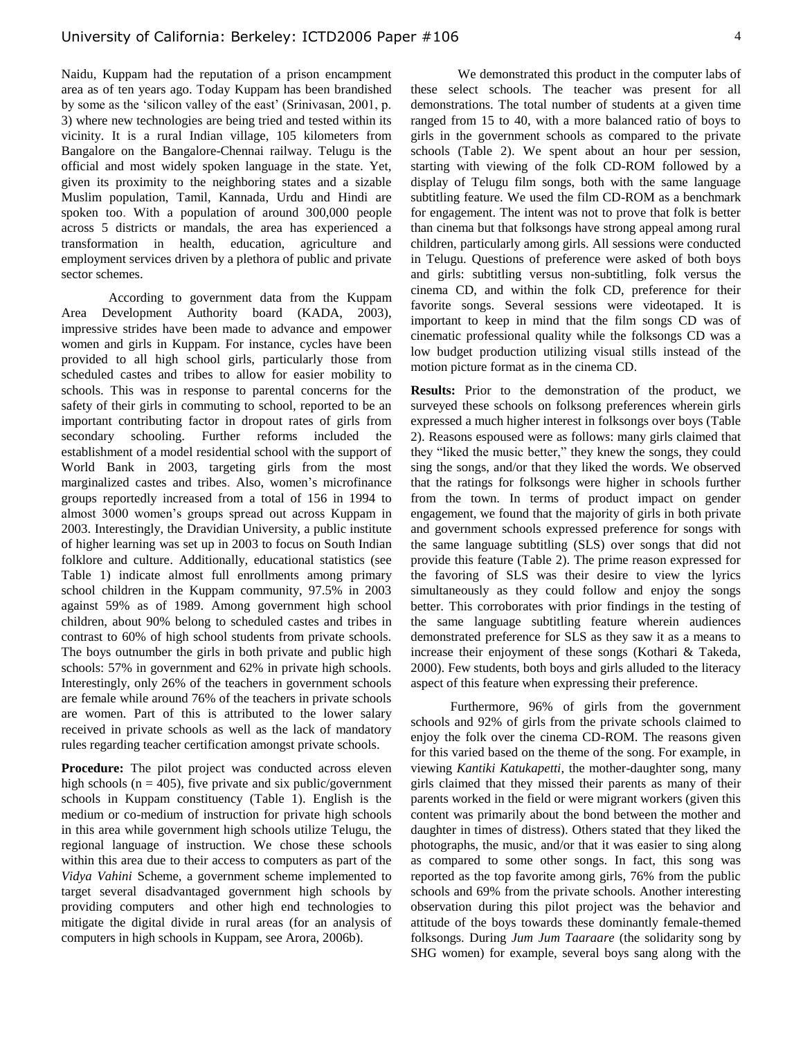Naidu, Kuppam had the reputation of a prison encampment area as of ten years ago. Today Kuppam has been brandished by some as the 'silicon valley of the east' (Srinivasan, 2001, p. 3) where new technologies are being tried and tested within its vicinity. It is a rural Indian village, 105 kilometers from Bangalore on the Bangalore-Chennai railway. Telugu is the official and most widely spoken language in the state. Yet, given its proximity to the neighboring states and a sizable Muslim population, Tamil, Kannada, Urdu and Hindi are spoken too. With a population of around 300,000 people across 5 districts or mandals, the area has experienced a transformation in health, education, agriculture and employment services driven by a plethora of public and private sector schemes.

According to government data from the Kuppam Area Development Authority board (KADA, 2003), impressive strides have been made to advance and empower women and girls in Kuppam. For instance, cycles have been provided to all high school girls, particularly those from scheduled castes and tribes to allow for easier mobility to schools. This was in response to parental concerns for the safety of their girls in commuting to school, reported to be an important contributing factor in dropout rates of girls from secondary schooling. Further reforms included the establishment of a model residential school with the support of World Bank in 2003, targeting girls from the most marginalized castes and tribes. Also, women's microfinance groups reportedly increased from a total of 156 in 1994 to almost 3000 women's groups spread out across Kuppam in 2003. Interestingly, the Dravidian University, a public institute of higher learning was set up in 2003 to focus on South Indian folklore and culture. Additionally, educational statistics (see Table 1) indicate almost full enrollments among primary school children in the Kuppam community, 97.5% in 2003 against 59% as of 1989. Among government high school children, about 90% belong to scheduled castes and tribes in contrast to 60% of high school students from private schools. The boys outnumber the girls in both private and public high schools: 57% in government and 62% in private high schools. Interestingly, only 26% of the teachers in government schools are female while around 76% of the teachers in private schools are women. Part of this is attributed to the lower salary received in private schools as well as the lack of mandatory rules regarding teacher certification amongst private schools.

**Procedure:** The pilot project was conducted across eleven high schools ( $n = 405$ ), five private and six public/government schools in Kuppam constituency (Table 1). English is the medium or co-medium of instruction for private high schools in this area while government high schools utilize Telugu, the regional language of instruction. We chose these schools within this area due to their access to computers as part of the *Vidya Vahini* Scheme, a government scheme implemented to target several disadvantaged government high schools by providing computers and other high end technologies to mitigate the digital divide in rural areas (for an analysis of computers in high schools in Kuppam, see Arora, 2006b).

We demonstrated this product in the computer labs of these select schools. The teacher was present for all demonstrations. The total number of students at a given time ranged from 15 to 40, with a more balanced ratio of boys to girls in the government schools as compared to the private schools (Table 2). We spent about an hour per session, starting with viewing of the folk CD-ROM followed by a display of Telugu film songs, both with the same language subtitling feature. We used the film CD-ROM as a benchmark for engagement. The intent was not to prove that folk is better than cinema but that folksongs have strong appeal among rural children, particularly among girls. All sessions were conducted in Telugu. Questions of preference were asked of both boys and girls: subtitling versus non-subtitling, folk versus the cinema CD, and within the folk CD, preference for their favorite songs. Several sessions were videotaped. It is important to keep in mind that the film songs CD was of cinematic professional quality while the folksongs CD was a low budget production utilizing visual stills instead of the motion picture format as in the cinema CD.

**Results:** Prior to the demonstration of the product, we surveyed these schools on folksong preferences wherein girls expressed a much higher interest in folksongs over boys (Table 2). Reasons espoused were as follows: many girls claimed that they "liked the music better," they knew the songs, they could sing the songs, and/or that they liked the words. We observed that the ratings for folksongs were higher in schools further from the town. In terms of product impact on gender engagement, we found that the majority of girls in both private and government schools expressed preference for songs with the same language subtitling (SLS) over songs that did not provide this feature (Table 2). The prime reason expressed for the favoring of SLS was their desire to view the lyrics simultaneously as they could follow and enjoy the songs better. This corroborates with prior findings in the testing of the same language subtitling feature wherein audiences demonstrated preference for SLS as they saw it as a means to increase their enjoyment of these songs (Kothari & Takeda, 2000). Few students, both boys and girls alluded to the literacy aspect of this feature when expressing their preference.

 Furthermore, 96% of girls from the government schools and 92% of girls from the private schools claimed to enjoy the folk over the cinema CD-ROM. The reasons given for this varied based on the theme of the song. For example, in viewing *Kantiki Katukapetti*, the mother-daughter song, many girls claimed that they missed their parents as many of their parents worked in the field or were migrant workers (given this content was primarily about the bond between the mother and daughter in times of distress). Others stated that they liked the photographs, the music, and/or that it was easier to sing along as compared to some other songs. In fact, this song was reported as the top favorite among girls, 76% from the public schools and 69% from the private schools. Another interesting observation during this pilot project was the behavior and attitude of the boys towards these dominantly female-themed folksongs. During *Jum Jum Taaraare* (the solidarity song by SHG women) for example, several boys sang along with the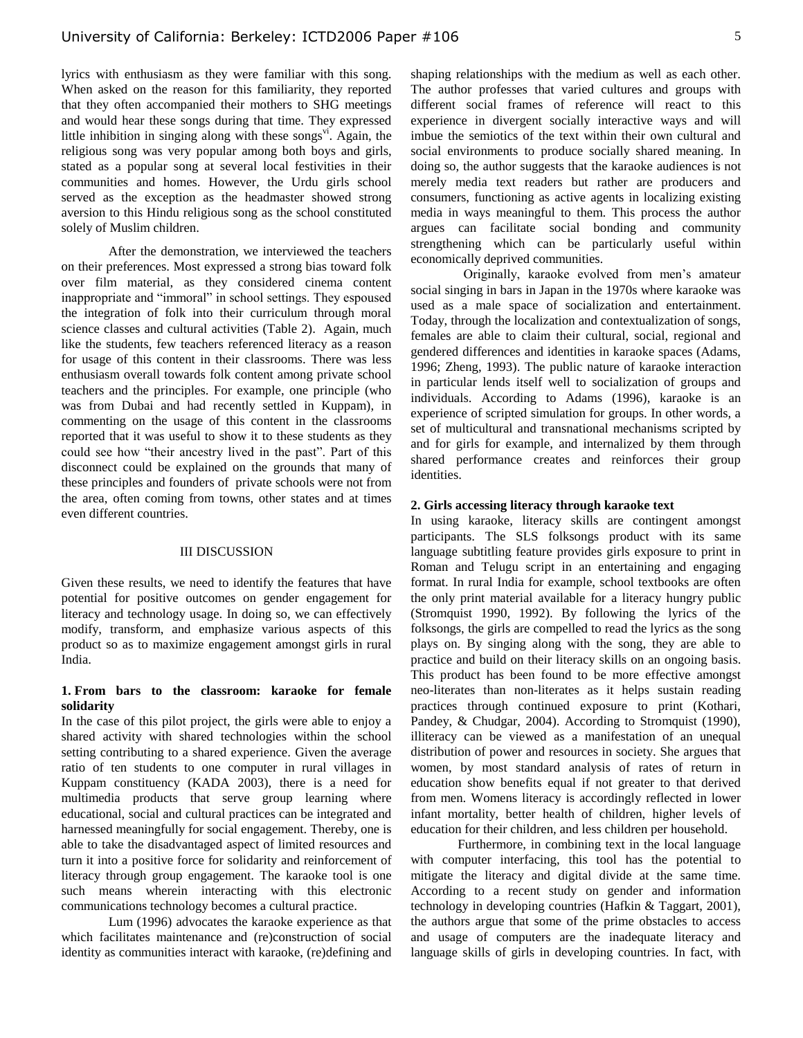lyrics with enthusiasm as they were familiar with this song. When asked on the reason for this familiarity, they reported that they often accompanied their mothers to SHG meetings and would hear these songs during that time. They expressed little inhibition in singing along with these songs<sup>vi</sup>. Again, the religious song was very popular among both boys and girls, stated as a popular song at several local festivities in their communities and homes. However, the Urdu girls school served as the exception as the headmaster showed strong aversion to this Hindu religious song as the school constituted solely of Muslim children.

After the demonstration, we interviewed the teachers on their preferences. Most expressed a strong bias toward folk over film material, as they considered cinema content inappropriate and "immoral" in school settings. They espoused the integration of folk into their curriculum through moral science classes and cultural activities (Table 2). Again, much like the students, few teachers referenced literacy as a reason for usage of this content in their classrooms. There was less enthusiasm overall towards folk content among private school teachers and the principles. For example, one principle (who was from Dubai and had recently settled in Kuppam), in commenting on the usage of this content in the classrooms reported that it was useful to show it to these students as they could see how "their ancestry lived in the past". Part of this disconnect could be explained on the grounds that many of these principles and founders of private schools were not from the area, often coming from towns, other states and at times even different countries.

#### III DISCUSSION

Given these results, we need to identify the features that have potential for positive outcomes on gender engagement for literacy and technology usage. In doing so, we can effectively modify, transform, and emphasize various aspects of this product so as to maximize engagement amongst girls in rural India.

# **1. From bars to the classroom: karaoke for female solidarity**

In the case of this pilot project, the girls were able to enjoy a shared activity with shared technologies within the school setting contributing to a shared experience. Given the average ratio of ten students to one computer in rural villages in Kuppam constituency (KADA 2003), there is a need for multimedia products that serve group learning where educational, social and cultural practices can be integrated and harnessed meaningfully for social engagement. Thereby, one is able to take the disadvantaged aspect of limited resources and turn it into a positive force for solidarity and reinforcement of literacy through group engagement. The karaoke tool is one such means wherein interacting with this electronic communications technology becomes a cultural practice.

Lum (1996) advocates the karaoke experience as that which facilitates maintenance and (re)construction of social identity as communities interact with karaoke, (re)defining and shaping relationships with the medium as well as each other. The author professes that varied cultures and groups with different social frames of reference will react to this experience in divergent socially interactive ways and will imbue the semiotics of the text within their own cultural and social environments to produce socially shared meaning. In doing so, the author suggests that the karaoke audiences is not merely media text readers but rather are producers and consumers, functioning as active agents in localizing existing media in ways meaningful to them. This process the author argues can facilitate social bonding and community strengthening which can be particularly useful within economically deprived communities.

 Originally, karaoke evolved from men's amateur social singing in bars in Japan in the 1970s where karaoke was used as a male space of socialization and entertainment. Today, through the localization and contextualization of songs, females are able to claim their cultural, social, regional and gendered differences and identities in karaoke spaces (Adams, 1996; Zheng, 1993). The public nature of karaoke interaction in particular lends itself well to socialization of groups and individuals. According to Adams (1996), karaoke is an experience of scripted simulation for groups. In other words, a set of multicultural and transnational mechanisms scripted by and for girls for example, and internalized by them through shared performance creates and reinforces their group identities.

## **2. Girls accessing literacy through karaoke text**

In using karaoke, literacy skills are contingent amongst participants. The SLS folksongs product with its same language subtitling feature provides girls exposure to print in Roman and Telugu script in an entertaining and engaging format. In rural India for example, school textbooks are often the only print material available for a literacy hungry public (Stromquist 1990, 1992). By following the lyrics of the folksongs, the girls are compelled to read the lyrics as the song plays on. By singing along with the song, they are able to practice and build on their literacy skills on an ongoing basis. This product has been found to be more effective amongst neo-literates than non-literates as it helps sustain reading practices through continued exposure to print (Kothari, Pandey, & Chudgar, 2004). According to Stromquist (1990), illiteracy can be viewed as a manifestation of an unequal distribution of power and resources in society. She argues that women, by most standard analysis of rates of return in education show benefits equal if not greater to that derived from men. Womens literacy is accordingly reflected in lower infant mortality, better health of children, higher levels of education for their children, and less children per household.

Furthermore, in combining text in the local language with computer interfacing, this tool has the potential to mitigate the literacy and digital divide at the same time. According to a recent study on gender and information technology in developing countries (Hafkin & Taggart, 2001), the authors argue that some of the prime obstacles to access and usage of computers are the inadequate literacy and language skills of girls in developing countries. In fact, with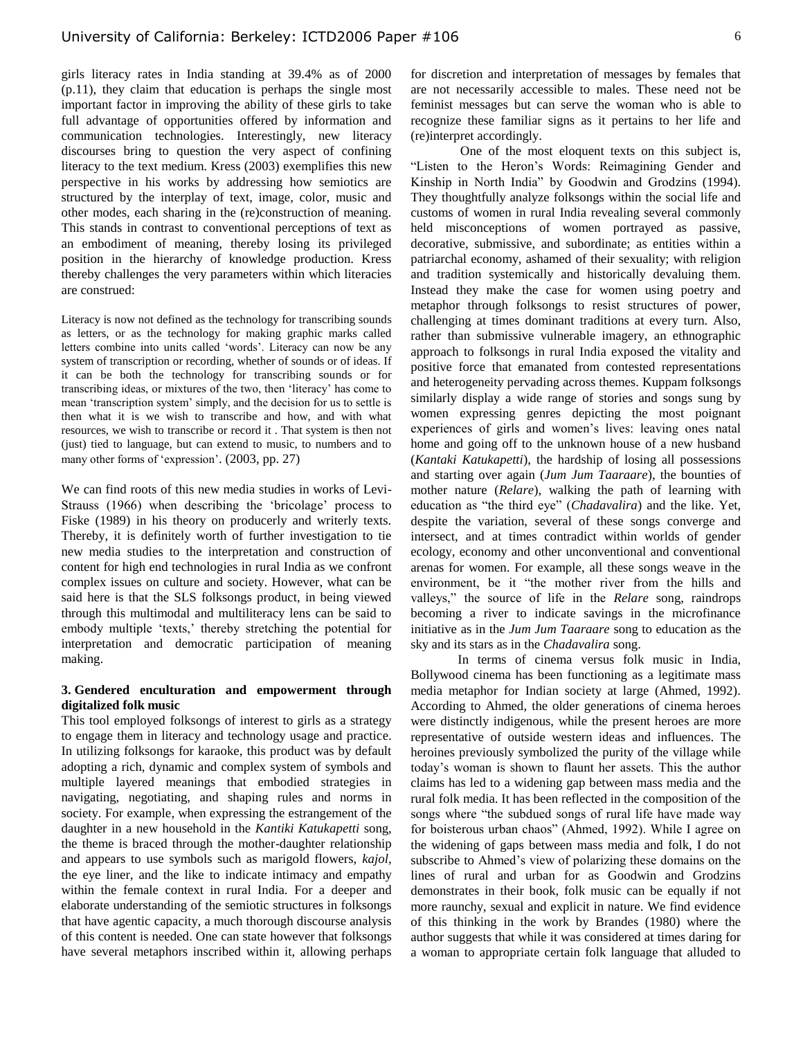girls literacy rates in India standing at 39.4% as of 2000 (p.11), they claim that education is perhaps the single most important factor in improving the ability of these girls to take full advantage of opportunities offered by information and communication technologies. Interestingly, new literacy discourses bring to question the very aspect of confining literacy to the text medium. Kress (2003) exemplifies this new perspective in his works by addressing how semiotics are structured by the interplay of text, image, color, music and other modes, each sharing in the (re)construction of meaning. This stands in contrast to conventional perceptions of text as an embodiment of meaning, thereby losing its privileged position in the hierarchy of knowledge production. Kress thereby challenges the very parameters within which literacies are construed:

Literacy is now not defined as the technology for transcribing sounds as letters, or as the technology for making graphic marks called letters combine into units called 'words'. Literacy can now be any system of transcription or recording, whether of sounds or of ideas. If it can be both the technology for transcribing sounds or for transcribing ideas, or mixtures of the two, then 'literacy' has come to mean 'transcription system' simply, and the decision for us to settle is then what it is we wish to transcribe and how, and with what resources, we wish to transcribe or record it . That system is then not (just) tied to language, but can extend to music, to numbers and to many other forms of 'expression'. (2003, pp. 27)

We can find roots of this new media studies in works of Levi-Strauss (1966) when describing the 'bricolage' process to Fiske (1989) in his theory on producerly and writerly texts. Thereby, it is definitely worth of further investigation to tie new media studies to the interpretation and construction of content for high end technologies in rural India as we confront complex issues on culture and society. However, what can be said here is that the SLS folksongs product, in being viewed through this multimodal and multiliteracy lens can be said to embody multiple 'texts,' thereby stretching the potential for interpretation and democratic participation of meaning making.

# **3. Gendered enculturation and empowerment through digitalized folk music**

This tool employed folksongs of interest to girls as a strategy to engage them in literacy and technology usage and practice. In utilizing folksongs for karaoke, this product was by default adopting a rich, dynamic and complex system of symbols and multiple layered meanings that embodied strategies in navigating, negotiating, and shaping rules and norms in society. For example, when expressing the estrangement of the daughter in a new household in the *Kantiki Katukapetti* song, the theme is braced through the mother-daughter relationship and appears to use symbols such as marigold flowers, *kajol,* the eye liner, and the like to indicate intimacy and empathy within the female context in rural India. For a deeper and elaborate understanding of the semiotic structures in folksongs that have agentic capacity, a much thorough discourse analysis of this content is needed. One can state however that folksongs have several metaphors inscribed within it, allowing perhaps

for discretion and interpretation of messages by females that are not necessarily accessible to males. These need not be feminist messages but can serve the woman who is able to recognize these familiar signs as it pertains to her life and (re)interpret accordingly.

 One of the most eloquent texts on this subject is, "Listen to the Heron's Words: Reimagining Gender and Kinship in North India" by Goodwin and Grodzins (1994). They thoughtfully analyze folksongs within the social life and customs of women in rural India revealing several commonly held misconceptions of women portrayed as passive, decorative, submissive, and subordinate; as entities within a patriarchal economy, ashamed of their sexuality; with religion and tradition systemically and historically devaluing them. Instead they make the case for women using poetry and metaphor through folksongs to resist structures of power, challenging at times dominant traditions at every turn. Also, rather than submissive vulnerable imagery, an ethnographic approach to folksongs in rural India exposed the vitality and positive force that emanated from contested representations and heterogeneity pervading across themes. Kuppam folksongs similarly display a wide range of stories and songs sung by women expressing genres depicting the most poignant experiences of girls and women's lives: leaving ones natal home and going off to the unknown house of a new husband (*Kantaki Katukapetti*), the hardship of losing all possessions and starting over again (*Jum Jum Taaraare*), the bounties of mother nature (*Relare*), walking the path of learning with education as "the third eye" (*Chadavalira*) and the like. Yet, despite the variation, several of these songs converge and intersect, and at times contradict within worlds of gender ecology, economy and other unconventional and conventional arenas for women. For example, all these songs weave in the environment, be it "the mother river from the hills and valleys," the source of life in the *Relare* song, raindrops becoming a river to indicate savings in the microfinance initiative as in the *Jum Jum Taaraare* song to education as the sky and its stars as in the *Chadavalira* song.

In terms of cinema versus folk music in India, Bollywood cinema has been functioning as a legitimate mass media metaphor for Indian society at large (Ahmed, 1992). According to Ahmed, the older generations of cinema heroes were distinctly indigenous, while the present heroes are more representative of outside western ideas and influences. The heroines previously symbolized the purity of the village while today's woman is shown to flaunt her assets. This the author claims has led to a widening gap between mass media and the rural folk media. It has been reflected in the composition of the songs where "the subdued songs of rural life have made way for boisterous urban chaos" (Ahmed, 1992). While I agree on the widening of gaps between mass media and folk, I do not subscribe to Ahmed's view of polarizing these domains on the lines of rural and urban for as Goodwin and Grodzins demonstrates in their book, folk music can be equally if not more raunchy, sexual and explicit in nature. We find evidence of this thinking in the work by Brandes (1980) where the author suggests that while it was considered at times daring for a woman to appropriate certain folk language that alluded to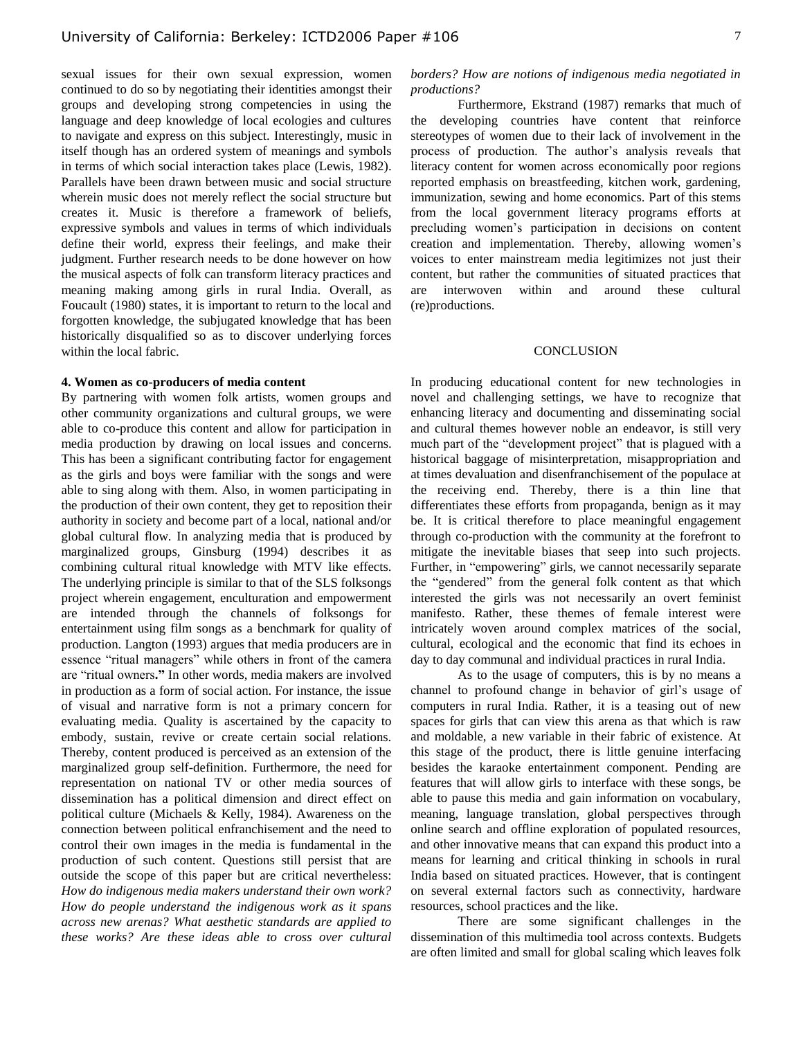sexual issues for their own sexual expression, women continued to do so by negotiating their identities amongst their groups and developing strong competencies in using the language and deep knowledge of local ecologies and cultures to navigate and express on this subject. Interestingly, music in itself though has an ordered system of meanings and symbols in terms of which social interaction takes place (Lewis, 1982). Parallels have been drawn between music and social structure wherein music does not merely reflect the social structure but creates it. Music is therefore a framework of beliefs, expressive symbols and values in terms of which individuals define their world, express their feelings, and make their judgment. Further research needs to be done however on how the musical aspects of folk can transform literacy practices and meaning making among girls in rural India. Overall, as Foucault (1980) states, it is important to return to the local and forgotten knowledge, the subjugated knowledge that has been historically disqualified so as to discover underlying forces within the local fabric.

#### **4. Women as co-producers of media content**

By partnering with women folk artists, women groups and other community organizations and cultural groups, we were able to co-produce this content and allow for participation in media production by drawing on local issues and concerns. This has been a significant contributing factor for engagement as the girls and boys were familiar with the songs and were able to sing along with them. Also, in women participating in the production of their own content, they get to reposition their authority in society and become part of a local, national and/or global cultural flow. In analyzing media that is produced by marginalized groups, Ginsburg (1994) describes it as combining cultural ritual knowledge with MTV like effects. The underlying principle is similar to that of the SLS folksongs project wherein engagement, enculturation and empowerment are intended through the channels of folksongs for entertainment using film songs as a benchmark for quality of production. Langton (1993) argues that media producers are in essence "ritual managers" while others in front of the camera are "ritual owners**."** In other words, media makers are involved in production as a form of social action. For instance, the issue of visual and narrative form is not a primary concern for evaluating media. Quality is ascertained by the capacity to embody, sustain, revive or create certain social relations. Thereby, content produced is perceived as an extension of the marginalized group self-definition. Furthermore, the need for representation on national TV or other media sources of dissemination has a political dimension and direct effect on political culture (Michaels & Kelly, 1984). Awareness on the connection between political enfranchisement and the need to control their own images in the media is fundamental in the production of such content. Questions still persist that are outside the scope of this paper but are critical nevertheless: *How do indigenous media makers understand their own work? How do people understand the indigenous work as it spans across new arenas? What aesthetic standards are applied to these works? Are these ideas able to cross over cultural* 

## *borders? How are notions of indigenous media negotiated in productions?*

Furthermore, Ekstrand (1987) remarks that much of the developing countries have content that reinforce stereotypes of women due to their lack of involvement in the process of production. The author's analysis reveals that literacy content for women across economically poor regions reported emphasis on breastfeeding, kitchen work, gardening, immunization, sewing and home economics. Part of this stems from the local government literacy programs efforts at precluding women's participation in decisions on content creation and implementation. Thereby, allowing women's voices to enter mainstream media legitimizes not just their content, but rather the communities of situated practices that are interwoven within and around these cultural (re)productions.

#### **CONCLUSION**

In producing educational content for new technologies in novel and challenging settings, we have to recognize that enhancing literacy and documenting and disseminating social and cultural themes however noble an endeavor, is still very much part of the "development project" that is plagued with a historical baggage of misinterpretation, misappropriation and at times devaluation and disenfranchisement of the populace at the receiving end. Thereby, there is a thin line that differentiates these efforts from propaganda, benign as it may be. It is critical therefore to place meaningful engagement through co-production with the community at the forefront to mitigate the inevitable biases that seep into such projects. Further, in "empowering" girls, we cannot necessarily separate the "gendered" from the general folk content as that which interested the girls was not necessarily an overt feminist manifesto. Rather, these themes of female interest were intricately woven around complex matrices of the social, cultural, ecological and the economic that find its echoes in day to day communal and individual practices in rural India.

As to the usage of computers, this is by no means a channel to profound change in behavior of girl's usage of computers in rural India. Rather, it is a teasing out of new spaces for girls that can view this arena as that which is raw and moldable, a new variable in their fabric of existence. At this stage of the product, there is little genuine interfacing besides the karaoke entertainment component. Pending are features that will allow girls to interface with these songs, be able to pause this media and gain information on vocabulary, meaning, language translation, global perspectives through online search and offline exploration of populated resources, and other innovative means that can expand this product into a means for learning and critical thinking in schools in rural India based on situated practices. However, that is contingent on several external factors such as connectivity, hardware resources, school practices and the like.

There are some significant challenges in the dissemination of this multimedia tool across contexts. Budgets are often limited and small for global scaling which leaves folk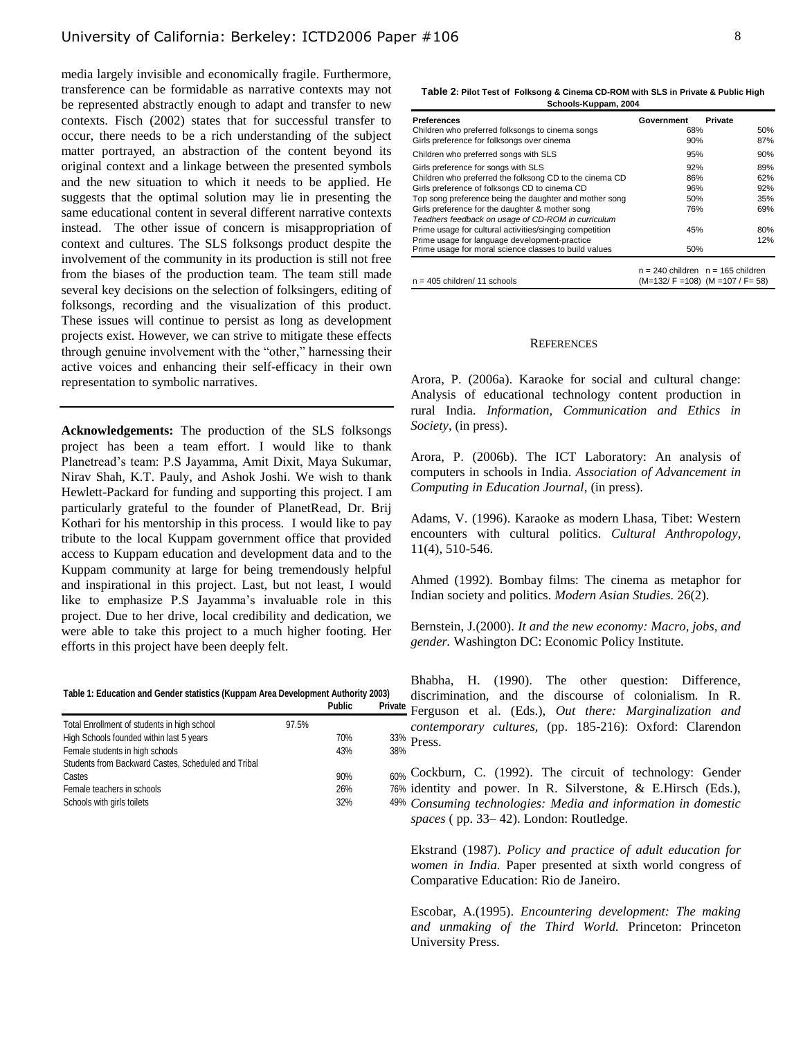media largely invisible and economically fragile. Furthermore, transference can be formidable as narrative contexts may not be represented abstractly enough to adapt and transfer to new contexts. Fisch (2002) states that for successful transfer to occur, there needs to be a rich understanding of the subject matter portrayed, an abstraction of the content beyond its original context and a linkage between the presented symbols and the new situation to which it needs to be applied. He suggests that the optimal solution may lie in presenting the same educational content in several different narrative contexts instead. The other issue of concern is misappropriation of context and cultures. The SLS folksongs product despite the involvement of the community in its production is still not free from the biases of the production team. The team still made several key decisions on the selection of folksingers, editing of folksongs, recording and the visualization of this product. These issues will continue to persist as long as development projects exist. However, we can strive to mitigate these effects through genuine involvement with the "other," harnessing their active voices and enhancing their self-efficacy in their own representation to symbolic narratives.

**Acknowledgements:** The production of the SLS folksongs project has been a team effort. I would like to thank Planetread's team: P.S Jayamma, Amit Dixit, Maya Sukumar, Nirav Shah, K.T. Pauly, and Ashok Joshi. We wish to thank Hewlett-Packard for funding and supporting this project. I am particularly grateful to the founder of PlanetRead, Dr. Brij Kothari for his mentorship in this process. I would like to pay tribute to the local Kuppam government office that provided access to Kuppam education and development data and to the Kuppam community at large for being tremendously helpful and inspirational in this project. Last, but not least, I would like to emphasize P.S Jayamma's invaluable role in this project. Due to her drive, local credibility and dedication, we were able to take this project to a much higher footing. Her efforts in this project have been deeply felt.

|  | Table 1: Education and Gender statistics (Kuppam Area Development Authority 2003) |
|--|-----------------------------------------------------------------------------------|
|--|-----------------------------------------------------------------------------------|

|                                                     |       | <b>Public</b> | Private |
|-----------------------------------------------------|-------|---------------|---------|
| Total Enrollment of students in high school         | 97.5% |               |         |
| High Schools founded within last 5 years            |       | 70%           | 33%     |
| Female students in high schools                     |       | 43%           | 38%     |
| Students from Backward Castes, Scheduled and Tribal |       |               |         |
| Castes                                              |       | 90%           | 60%     |
| Female teachers in schools                          |       | 26%           | 76%     |
| Schools with girls toilets                          |       | 32%           | 49%     |

| <b>Preferences</b>                                      | Private<br>Government                                                   |     |
|---------------------------------------------------------|-------------------------------------------------------------------------|-----|
| Children who preferred folksongs to cinema songs        | 68%                                                                     | 50% |
| Girls preference for folksongs over cinema              | 90%                                                                     | 87% |
| Children who preferred songs with SLS                   | 95%                                                                     | 90% |
| Girls preference for songs with SLS                     | 92%                                                                     | 89% |
| Children who preferred the folksong CD to the cinema CD | 86%                                                                     | 62% |
| Girls preference of folksongs CD to cinema CD           | 96%                                                                     | 92% |
| Top song preference being the daughter and mother song  | 50%                                                                     | 35% |
| Girls preference for the daughter & mother song         | 76%                                                                     | 69% |
| Teadhers feedback on usage of CD-ROM in curriculum      |                                                                         |     |
| Prime usage for cultural activities/singing competition | 45%                                                                     | 80% |
| Prime usage for language development-practice           |                                                                         | 12% |
| Prime usage for moral science classes to build values   | 50%                                                                     |     |
| n = 405 children/ 11 schools                            | $n = 240$ children $n = 165$ children<br>$(M=132/F=108)$ $(M=107/F=58)$ |     |

#### **REFERENCES**

Arora, P. (2006a). Karaoke for social and cultural change: Analysis of educational technology content production in rural India. *Information, Communication and Ethics in Society*, (in press).

Arora, P. (2006b). The ICT Laboratory: An analysis of computers in schools in India. *Association of Advancement in Computing in Education Journal*, (in press).

Adams, V. (1996). Karaoke as modern Lhasa, Tibet: Western encounters with cultural politics. *Cultural Anthropology*, 11(4), 510-546.

Ahmed (1992). Bombay films: The cinema as metaphor for Indian society and politics. *Modern Asian Studies.* 26(2).

Bernstein, J.(2000). *It and the new economy: Macro, jobs, and gender.* Washington DC: Economic Policy Institute.

**Public Private**  Ferguson et al. (Eds.), *Out there: Marginalization and*  Bhabha, H. (1990). The other question: Difference, discrimination, and the discourse of colonialism. In R. *contemporary cultures,* (pp. 185-216): Oxford: Clarendon Press.

> <sub>60%</sub> Cockburn, C. (1992). The circuit of technology: Gender  $\%$  identity and power. In R. Silverstone,  $\&$  E.Hirsch (Eds.), *Consuming technologies: Media and information in domestic spaces* ( pp. 33– 42). London: Routledge.

Ekstrand (1987). *Policy and practice of adult education for women in India.* Paper presented at sixth world congress of Comparative Education: Rio de Janeiro.

Escobar, A.(1995). *Encountering development: The making and unmaking of the Third World.* Princeton: Princeton University Press.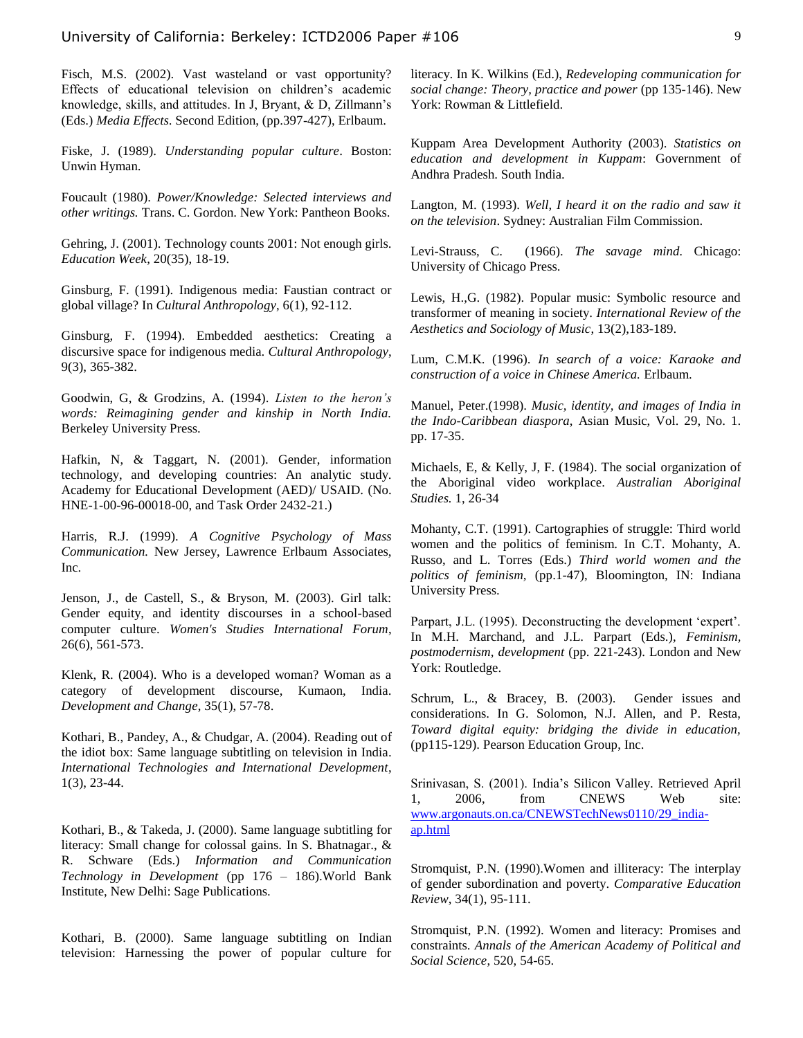Fisch, M.S. (2002). Vast wasteland or vast opportunity? Effects of educational television on children's academic knowledge, skills, and attitudes. In J, Bryant, & D, Zillmann's (Eds.) *Media Effects*. Second Edition, (pp.397-427), Erlbaum.

Fiske, J. (1989). *Understanding popular culture*. Boston: Unwin Hyman.

Foucault (1980). *Power/Knowledge: Selected interviews and other writings.* Trans. C. Gordon. New York: Pantheon Books.

Gehring, J. (2001). Technology counts 2001: Not enough girls. *Education Week*, 20(35), 18-19.

Ginsburg, F. (1991). Indigenous media: Faustian contract or global village? In *Cultural Anthropology*, 6(1), 92-112.

Ginsburg, F. (1994). Embedded aesthetics: Creating a discursive space for indigenous media. *Cultural Anthropology*, 9(3), 365-382.

Goodwin, G, & Grodzins, A. (1994). *Listen to the heron's words: Reimagining gender and kinship in North India.* Berkeley University Press.

Hafkin, N, & Taggart, N. (2001). Gender, information technology, and developing countries: An analytic study. Academy for Educational Development (AED)/ USAID. (No. HNE-1-00-96-00018-00, and Task Order 2432-21.)

Harris, R.J. (1999). *A Cognitive Psychology of Mass Communication.* New Jersey, Lawrence Erlbaum Associates, Inc.

Jenson, J., de Castell, S., & Bryson, M. (2003). Girl talk: Gender equity, and identity discourses in a school-based computer culture. *Women's Studies International Forum*, 26(6), 561-573.

Klenk, R. (2004). Who is a developed woman? Woman as a category of development discourse, Kumaon, India. *Development and Change*, 35(1), 57-78.

Kothari, B., Pandey, A., & Chudgar, A. (2004). Reading out of the idiot box: Same language subtitling on television in India. *International Technologies and International Development*, 1(3), 23-44.

Kothari, B., & Takeda, J. (2000). Same language subtitling for literacy: Small change for colossal gains. In S. Bhatnagar., & R. Schware (Eds.) *Information and Communication Technology in Development* (pp 176 – 186).World Bank Institute, New Delhi: Sage Publications.

Kothari, B. (2000). Same language subtitling on Indian television: Harnessing the power of popular culture for literacy. In K. Wilkins (Ed.), *Redeveloping communication for social change: Theory, practice and power* (pp 135-146). New York: Rowman & Littlefield.

Kuppam Area Development Authority (2003). *Statistics on education and development in Kuppam*: Government of Andhra Pradesh. South India.

Langton, M. (1993). *Well, I heard it on the radio and saw it on the television*. Sydney: Australian Film Commission.

Levi-Strauss, C. (1966). *The savage mind.* Chicago: University of Chicago Press.

Lewis, H.,G. (1982). Popular music: Symbolic resource and transformer of meaning in society. *International Review of the Aesthetics and Sociology of Music*, 13(2),183-189.

Lum, C.M.K. (1996). *In search of a voice: Karaoke and construction of a voice in Chinese America.* Erlbaum.

Manuel, Peter.(1998). *[Music, identity, and images of India in](http://www.jstor.org.mizuna.cc.columbia.edu:2048/view/00449202/ap030055/03a00020/0?frame=noframe&userID=803b1dd5@columbia.edu/01cce4403512fdd104367eb3b2&dpi=3&config=jstor)  [the Indo-Caribbean diaspora](http://www.jstor.org.mizuna.cc.columbia.edu:2048/view/00449202/ap030055/03a00020/0?frame=noframe&userID=803b1dd5@columbia.edu/01cce4403512fdd104367eb3b2&dpi=3&config=jstor)*, Asian Music, Vol. 29, No. 1. pp. 17-35.

Michaels, E, & Kelly, J, F. (1984). The social organization of the Aboriginal video workplace. *Australian Aboriginal Studies.* 1, 26-34

Mohanty, C.T. (1991). Cartographies of struggle: Third world women and the politics of feminism. In C.T. Mohanty, A. Russo, and L. Torres (Eds.) *Third world women and the politics of feminism,* (pp.1-47), Bloomington, IN: Indiana University Press.

Parpart, J.L. (1995). Deconstructing the development 'expert'. In M.H. Marchand, and J.L. Parpart (Eds.), *Feminism, postmodernism, development* (pp. 221-243). London and New York: Routledge.

Schrum, L., & Bracey, B. (2003). Gender issues and considerations. In G. Solomon, N.J. Allen, and P. Resta, *Toward digital equity: bridging the divide in education,* (pp115-129). Pearson Education Group, Inc.

Srinivasan, S. (2001). India's Silicon Valley. Retrieved April 1, 2006, from CNEWS Web site: [www.argonauts.on.ca/CNEWSTechNews0110/29\\_india](http://www.argonauts.on.ca/CNEWSTechNews0110/29_india-ap.html)[ap.html](http://www.argonauts.on.ca/CNEWSTechNews0110/29_india-ap.html)

Stromquist, P.N. (1990).Women and illiteracy: The interplay of gender subordination and poverty. *Comparative Education Review*, 34(1), 95-111.

Stromquist, P.N. (1992). Women and literacy: Promises and constraints. *Annals of the American Academy of Political and Social Science*, 520, 54-65.